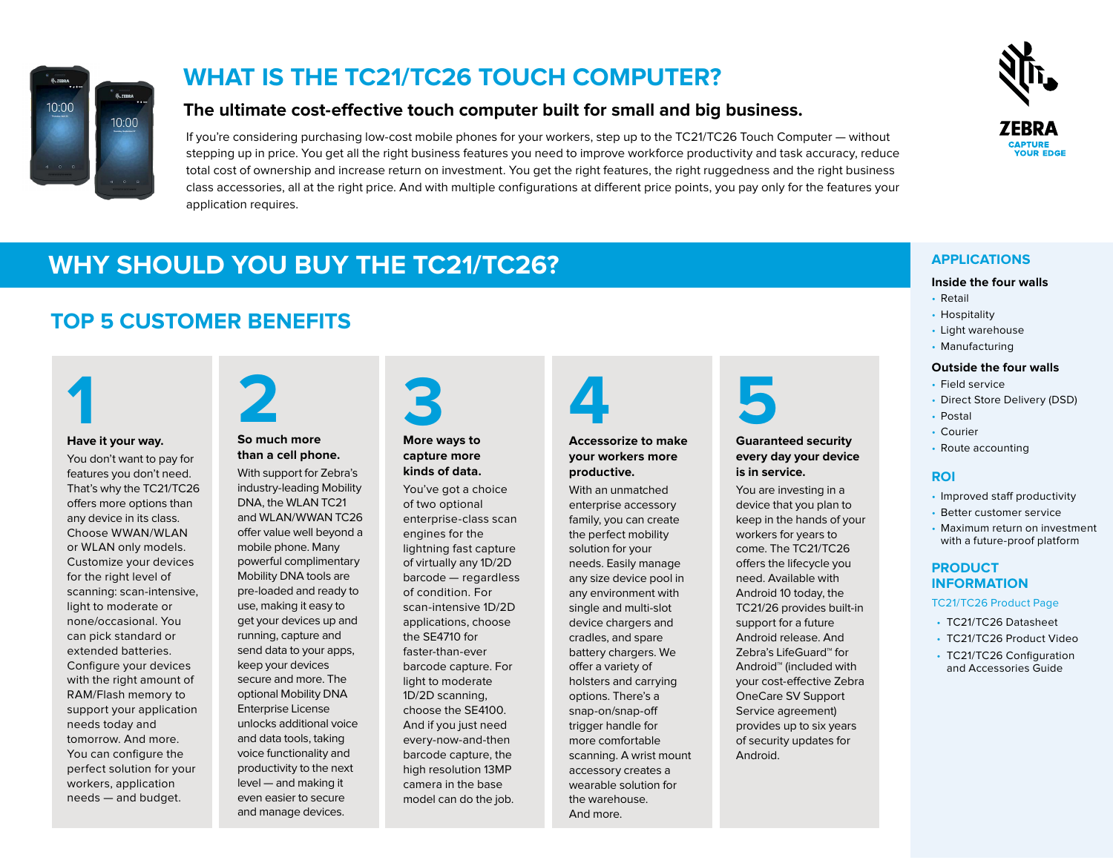

## **WHAT IS THE TC21/TC26 TOUCH COMPUTER?**

## **The ultimate cost-effective touch computer built for small and big business.**

If you're considering purchasing low-cost mobile phones for your workers, step up to the TC21/TC26 Touch Computer — without stepping up in price. You get all the right business features you need to improve workforce productivity and task accuracy, reduce total cost of ownership and increase return on investment. You get the right features, the right ruggedness and the right business class accessories, all at the right price. And with multiple configurations at different price points, you pay only for the features your application requires.



#### **Inside the four walls**

- Retail
- Hospitality
- Light warehouse
- Manufacturing

### **Outside the four walls**

- Field service
- Direct Store Delivery (DSD)
- Postal
- Courier
- Route accounting

## **ROI**

- Improved staff productivity
- Better customer service
- Maximum return on investment with a future-proof platform

### **PRODUCT INFORMATION**

#### [TC21/TC26 Product Page](www.zebra.com/tc21-tc26)

- TC21/TC26 Datasheet
- TC21/TC26 Product Video
- TC21/TC26 Configuration and Accessories Guide

## **WHY SHOULD YOU BUY THE TC21/TC26? APPLICATIONS**

## **TOP 5 CUSTOMER BENEFITS**



## **Have it your way.**

You don't want to pay for features you don't need. That's why the TC21/TC26 offers more options than any device in its class. Choose WWAN/WLAN or WLAN only models. Customize your devices for the right level of scanning: scan-intensive, light to moderate or none/occasional. You can pick standard or extended batteries. Configure your devices with the right amount of RAM/Flash memory to support your application needs today and tomorrow. And more. You can configure the perfect solution for your workers, application needs — and budget.

## **So much more than a cell phone. 2**

With support for Zebra's industry-leading Mobility DNA, the WLAN TC21 and WLAN/WWAN TC26 offer value well beyond a mobile phone. Many powerful complimentary Mobility DNA tools are pre-loaded and ready to use, making it easy to get your devices up and running, capture and send data to your apps, keep your devices secure and more. The optional Mobility DNA Enterprise License unlocks additional voice and data tools, taking voice functionality and productivity to the next level — and making it even easier to secure and manage devices.

# **3**

#### **More ways to capture more kinds of data.**

You've got a choice of two optional enterprise-class scan engines for the lightning fast capture of virtually any 1D/2D barcode — regardless of condition. For scan-intensive 1D/2D applications, choose the SE4710 for faster-than-ever barcode capture. For light to moderate 1D/2D scanning, choose the SE4100. And if you just need every-now-and-then barcode capture, the high resolution 13MP camera in the base model can do the job.

## **Accessorize to make your workers more productive. 4**

With an unmatched enterprise accessory family, you can create the perfect mobility solution for your needs. Easily manage any size device pool in any environment with single and multi-slot device chargers and cradles, and spare battery chargers. We offer a variety of holsters and carrying options. There's a snap-on/snap-off trigger handle for more comfortable scanning. A wrist mount accessory creates a wearable solution for the warehouse. And more.



## **Guaranteed security every day your device is in service.**

You are investing in a device that you plan to keep in the hands of your workers for years to come. The TC21/TC26 offers the lifecycle you need. Available with Android 10 today, the TC21/26 provides built-in support for a future Android release. And Zebra's LifeGuard™ for Android™ (included with your cost-effective Zebra OneCare SV Support Service agreement) provides up to six years of security updates for Android.